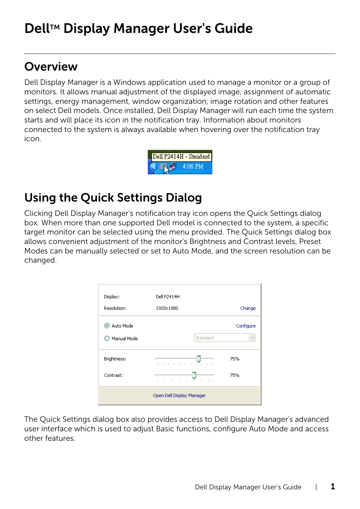# Dell™ Display Manager User's Guide

#### Overview

Dell Display Manager is a Windows application used to manage a monitor or a group of monitors. It allows manual adjustment of the displayed image, assignment of automatic settings, energy management, window organization, image rotation and other features on select Dell models. Once installed, Dell Display Manager will run each time the system starts and will place its icon in the notification tray. Information about monitors connected to the system is always available when hovering over the notification tray icon.

|  | Dell P2414H - Standard |
|--|------------------------|
|  |                        |

#### Using the Quick Settings Dialog

Clicking Dell Display Manager's notification tray icon opens the Quick Settings dialog box. When more than one supported Dell model is connected to the system, a specific target monitor can be selected using the menu provided. The Quick Settings dialog box allows convenient adjustment of the monitor's Brightness and Contrast levels, Preset Modes can be manually selected or set to Auto Mode, and the screen resolution can be changed.

| Display:             | Dell P2414H                                                           |           |
|----------------------|-----------------------------------------------------------------------|-----------|
| Resolution:          | 1920×1080                                                             | Change    |
| Auto Mode<br>$\circ$ |                                                                       | Configure |
| Manual Mode          | Standard                                                              |           |
| Brightness:          | and a state of the state of<br>$\bar{1}$<br>$\mathbf{r}$<br>×         | 75%       |
| Contrast:            | $\sim$<br>$\sim$ 1<br>$\mathbf{L}$<br>J.<br>$\sim$<br>J.<br>- 11<br>٠ | 75%       |
|                      | Open Dell Display Manager                                             |           |

The Quick Settings dialog box also provides access to Dell Display Manager's advanced user interface which is used to adjust Basic functions, configure Auto Mode and access other features.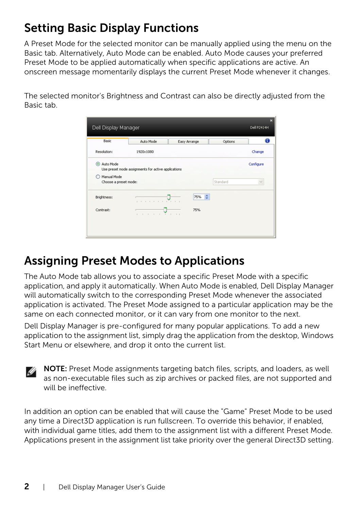## Setting Basic Display Functions

A Preset Mode for the selected monitor can be manually applied using the menu on the Basic tab. Alternatively, Auto Mode can be enabled. Auto Mode causes your preferred Preset Mode to be applied automatically when specific applications are active. An onscreen message momentarily displays the current Preset Mode whenever it changes.

The selected monitor's Brightness and Contrast can also be directly adjusted from the Basic tab.

| Basic                                | Auto Mode                                           | Easy Arrange          | Options  |           |
|--------------------------------------|-----------------------------------------------------|-----------------------|----------|-----------|
| Resolution:                          | 1920×1080                                           |                       |          | Change    |
| Auto Mode                            | Use preset mode assignments for active applications |                       |          | Configure |
| Manual Mode<br>Choose a preset mode: |                                                     |                       | Standard | $\vee$    |
| Brightness:                          | .                                                   | 75% ÷                 |          |           |
| Contrast:                            | $\sim$<br>×<br>٠                                    | 75%<br>and the season |          |           |

### Assigning Preset Modes to Applications

The Auto Mode tab allows you to associate a specific Preset Mode with a specific application, and apply it automatically. When Auto Mode is enabled, Dell Display Manager will automatically switch to the corresponding Preset Mode whenever the associated application is activated. The Preset Mode assigned to a particular application may be the same on each connected monitor, or it can vary from one monitor to the next.

Dell Display Manager is pre-configured for many popular applications. To add a new application to the assignment list, simply drag the application from the desktop, Windows Start Menu or elsewhere, and drop it onto the current list.

NOTE: Preset Mode assignments targeting batch files, scripts, and loaders, as well Ø as non-executable files such as zip archives or packed files, are not supported and will be ineffective.

In addition an option can be enabled that will cause the "Game" Preset Mode to be used any time a Direct3D application is run fullscreen. To override this behavior, if enabled, with individual game titles, add them to the assignment list with a different Preset Mode. Applications present in the assignment list take priority over the general Direct3D setting.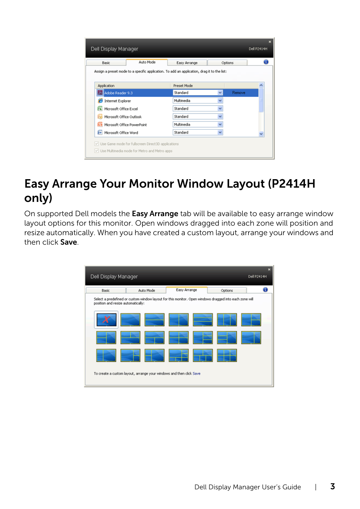| Basic                                | Auto Mode                                                                                   | Easy Arrange |              | Options |  |
|--------------------------------------|---------------------------------------------------------------------------------------------|--------------|--------------|---------|--|
|                                      | Assign a preset mode to a specific application. To add an application, drag it to the list: |              |              |         |  |
| Application                          |                                                                                             | Preset Mode  |              |         |  |
| Adobe Reader 9.3                     |                                                                                             | Standard     | v            | Remove  |  |
| Internet Explorer                    |                                                                                             | Multimedia   |              |         |  |
| X Microsoft Office Excel             |                                                                                             | Standard     | $\checkmark$ |         |  |
| Microsoft Office Outlook             |                                                                                             | Standard     | $\checkmark$ |         |  |
| <b>G</b> Microsoft Office PowerPoint |                                                                                             | Multimedia   | $\checkmark$ |         |  |
| [w] Microsoft Office Word            |                                                                                             | Standard     | $\checkmark$ |         |  |

#### Easy Arrange Your Monitor Window Layout (P2414H only)

On supported Dell models the **Easy Arrange** tab will be available to easy arrange window layout options for this monitor. Open windows dragged into each zone will position and resize automatically. When you have created a custom layout, arrange your windows and then click **Save**.